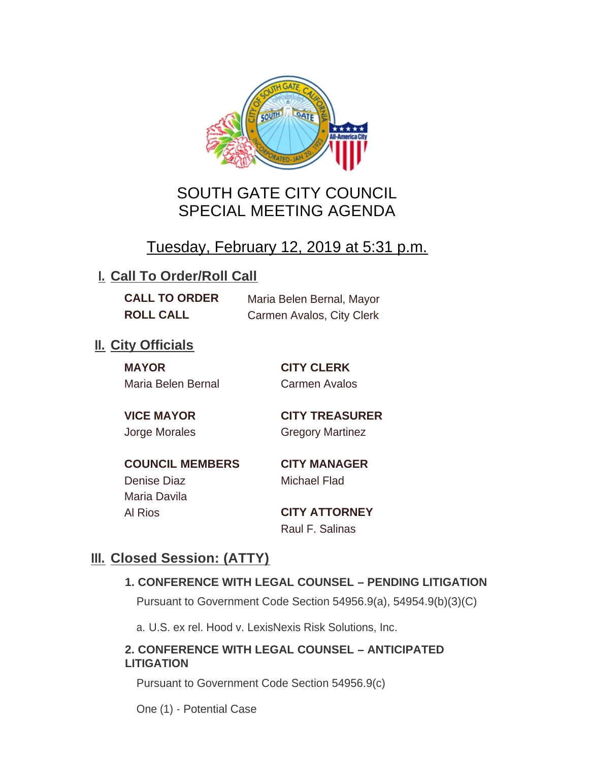

# SOUTH GATE CITY COUNCIL SPECIAL MEETING AGENDA

# Tuesday, February 12, 2019 at 5:31 p.m.

## **I. Call To Order/Roll Call**

**CALL TO ORDER** Maria Belen Bernal, Mayor **ROLL CALL** Carmen Avalos, City Clerk

## **II.** City Officials

**MAYOR CITY CLERK** Maria Belen Bernal Carmen Avalos

**VICE MAYOR CITY TREASURER** Jorge Morales Gregory Martinez

**COUNCIL MEMBERS CITY MANAGER** Denise Diaz Michael Flad Maria Davila Al Rios **CITY ATTORNEY**

Raul F. Salinas

## **Closed Session: (ATTY) III.**

### **1. CONFERENCE WITH LEGAL COUNSEL – PENDING LITIGATION**

Pursuant to Government Code Section 54956.9(a), 54954.9(b)(3)(C)

a. U.S. ex rel. Hood v. LexisNexis Risk Solutions, Inc.

### **2. CONFERENCE WITH LEGAL COUNSEL – ANTICIPATED LITIGATION**

Pursuant to Government Code Section 54956.9(c)

One (1) - Potential Case